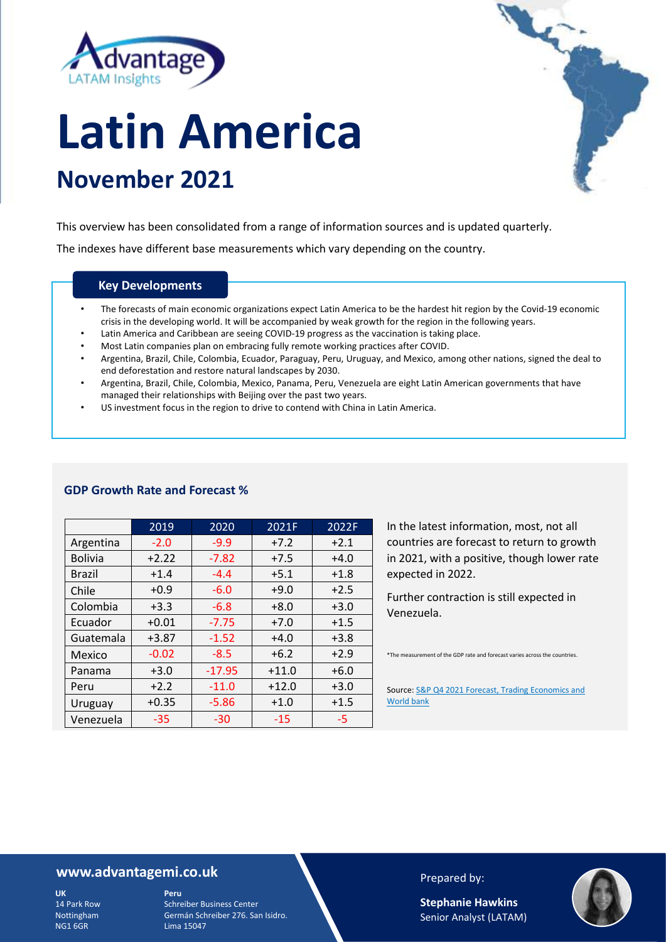



# **Latin America November 2021**

This overview has been consolidated from a range of information sources and is updated quarterly.

The indexes have different base measurements which vary depending on the country.

#### **Key Developments**

- The forecasts of main economic organizations expect Latin America to be the hardest hit region by the Covid-19 economic crisis in the developing world. It will be accompanied by weak growth for the region in the following years.
- Latin America and Caribbean are seeing COVID-19 progress as the vaccination is taking place.
- Most Latin companies plan on embracing fully remote working practices after COVID.
- Argentina, Brazil, Chile, Colombia, Ecuador, Paraguay, Peru, Uruguay, and Mexico, among other nations, signed the deal to end deforestation and restore natural landscapes by 2030.
- Argentina, Brazil, Chile, Colombia, Mexico, Panama, Peru, Venezuela are eight Latin American governments that have managed their relationships with Beijing over the past two years.
- US investment focus in the region to drive to contend with China in Latin America.

|                | 2019    | 2020     | 2021F   | 2022F  |
|----------------|---------|----------|---------|--------|
| Argentina      | $-2.0$  | $-9.9$   | $+7.2$  | $+2.1$ |
| <b>Bolivia</b> | $+2.22$ | $-7.82$  | $+7.5$  | $+4.0$ |
| <b>Brazil</b>  | $+1.4$  | $-4.4$   | $+5.1$  | $+1.8$ |
| Chile          | $+0.9$  | $-6.0$   | $+9.0$  | $+2.5$ |
| Colombia       | $+3.3$  | $-6.8$   | $+8.0$  | $+3.0$ |
| Ecuador        | $+0.01$ | $-7.75$  | $+7.0$  | $+1.5$ |
| Guatemala      | $+3.87$ | $-1.52$  | $+4.0$  | $+3.8$ |
| Mexico         | $-0.02$ | $-8.5$   | $+6.2$  | $+2.9$ |
| Panama         | $+3.0$  | $-17.95$ | $+11.0$ | $+6.0$ |
| Peru           | $+2.2$  | $-11.0$  | $+12.0$ | $+3.0$ |
| Uruguay        | $+0.35$ | $-5.86$  | $+1.0$  | $+1.5$ |
| Venezuela      | $-35$   | -30      | $-15$   | -5     |

#### **GDP Growth Rate and Forecast %**

In the latest information, most, not all countries are forecast to return to growth in 2021, with a positive, though lower rate expected in 2022.

Further contraction is still expected in Venezuela.

\*The measurement of the GDP rate and forecast varies across the countries.

Source: S&P Q4 2021 Forecast, Trading Economics and World bank

#### **www.advantagemi.co.uk**

**UK** 14 Park Row Nottingham NG1 6GR

**Peru** Schreiber Business Center Germán Schreiber 276. San Isidro. Lima 15047

#### Prepared by:

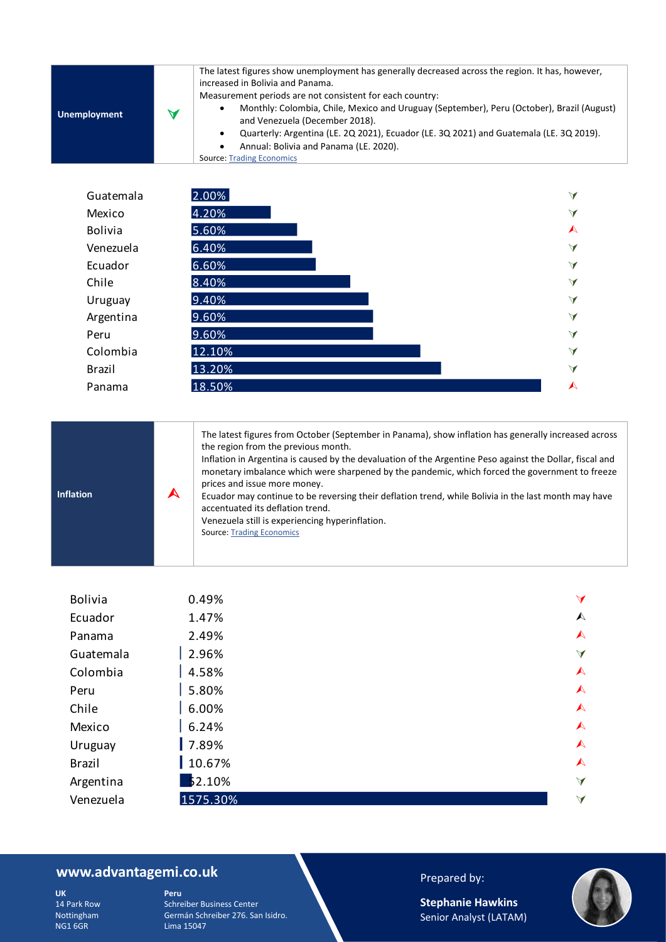|                     |   | The latest figures show unemployment has generally decreased across the region. It has, however,<br>increased in Bolivia and Panama.<br>Measurement periods are not consistent for each country: |
|---------------------|---|--------------------------------------------------------------------------------------------------------------------------------------------------------------------------------------------------|
| <b>Unemployment</b> | W | Monthly: Colombia, Chile, Mexico and Uruguay (September), Peru (October), Brazil (August)<br>٠<br>and Venezuela (December 2018).                                                                 |
|                     |   | Quarterly: Argentina (LE. 2Q 2021), Ecuador (LE. 3Q 2021) and Guatemala (LE. 3Q 2019).<br>٠                                                                                                      |
|                     |   | Annual: Bolivia and Panama (LE. 2020).                                                                                                                                                           |
|                     |   | <b>Source: Trading Economics</b>                                                                                                                                                                 |

| Guatemala      | 2.00%  | $\blacktriangleleft$ |
|----------------|--------|----------------------|
| Mexico         | 4.20%  | $\blacktriangleleft$ |
| <b>Bolivia</b> | 5.60%  | $\blacktriangle$     |
| Venezuela      | 6.40%  | $\blacktriangleleft$ |
| Ecuador        | 6.60%  | $\blacktriangleleft$ |
| Chile          | 8.40%  | $\blacktriangleleft$ |
| Uruguay        | 9.40%  | $\blacktriangleleft$ |
| Argentina      | 9.60%  | $\blacktriangleleft$ |
| Peru           | 9.60%  | $\blacktriangleleft$ |
| Colombia       | 12.10% | $\blacktriangleleft$ |
| Brazil         | 13.20% | $\blacktriangleleft$ |
| Panama         | 18.50% | $\blacktriangle$     |

| The latest figures from October (September in Panama), show inflation has generally increased across<br>the region from the previous month.<br>Inflation in Argentina is caused by the devaluation of the Argentine Peso against the Dollar, fiscal and<br>monetary imbalance which were sharpened by the pandemic, which forced the government to freeze<br>prices and issue more money.<br><b>Inflation</b><br>Ecuador may continue to be reversing their deflation trend, while Bolivia in the last month may have<br>accentuated its deflation trend.<br>Venezuela still is experiencing hyperinflation.<br><b>Source: Trading Economics</b> |
|--------------------------------------------------------------------------------------------------------------------------------------------------------------------------------------------------------------------------------------------------------------------------------------------------------------------------------------------------------------------------------------------------------------------------------------------------------------------------------------------------------------------------------------------------------------------------------------------------------------------------------------------------|
|--------------------------------------------------------------------------------------------------------------------------------------------------------------------------------------------------------------------------------------------------------------------------------------------------------------------------------------------------------------------------------------------------------------------------------------------------------------------------------------------------------------------------------------------------------------------------------------------------------------------------------------------------|

| <b>Bolivia</b> | 0.49%    | $\blacktriangleleft$ |
|----------------|----------|----------------------|
| Ecuador        | 1.47%    | $\blacktriangle$     |
| Panama         | 2.49%    | $\blacktriangle$     |
| Guatemala      | 2.96%    | $\blacktriangleleft$ |
| Colombia       | 4.58%    | $\blacktriangle$     |
| Peru           | 5.80%    | $\blacktriangle$     |
| Chile          | 6.00%    | $\blacktriangle$     |
| Mexico         | 6.24%    | $\blacktriangle$     |
| Uruguay        | 7.89%    | $\blacktriangle$     |
| <b>Brazil</b>  | 10.67%   | $\blacktriangle$     |
| Argentina      | 52.10%   | $\blacktriangleleft$ |
| Venezuela      | 1575.30% | $\blacktriangleleft$ |

# **www.advantagemi.co.uk**

**UK** 14 Park Row Nottingham NG1 6GR

**Peru** Schreiber Business Center Germán Schreiber 276. San Isidro. Lima 15047

## Prepared by:

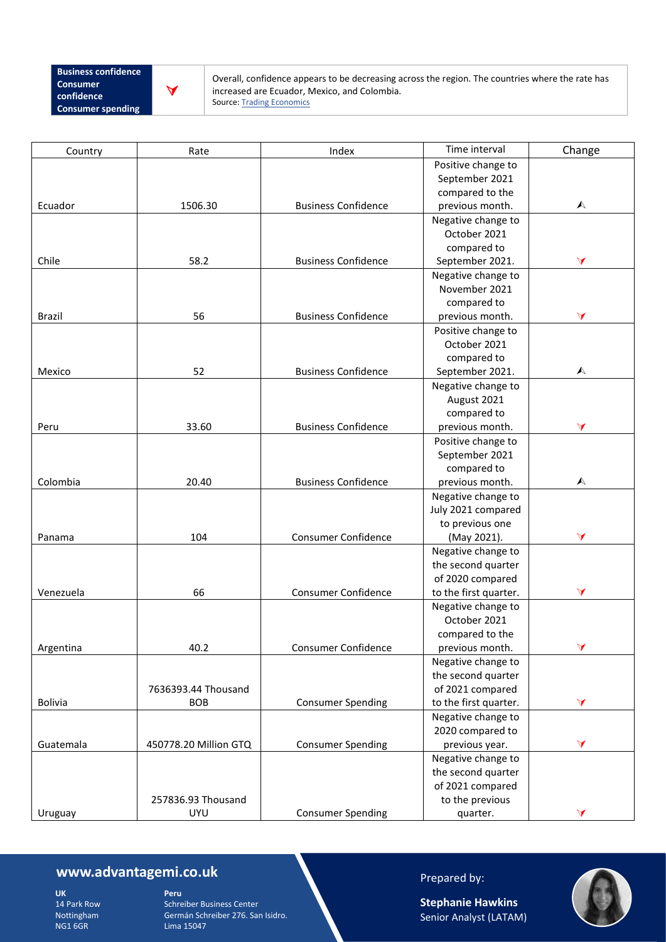

Overall, confidence appears to be decreasing across the region. The countries where the rate has increased are Ecuador, Mexico, and Colombia. Source: [Trading](http://www.inegi.org.mx/) Economics

| Country        | Rate                  | Index                      | Time interval         | Change               |
|----------------|-----------------------|----------------------------|-----------------------|----------------------|
|                |                       |                            | Positive change to    |                      |
|                |                       |                            | September 2021        |                      |
|                |                       |                            | compared to the       |                      |
| Ecuador        | 1506.30               | <b>Business Confidence</b> | previous month.       | $\blacktriangle$     |
|                |                       |                            | Negative change to    |                      |
|                |                       |                            | October 2021          |                      |
|                |                       |                            | compared to           |                      |
| Chile          | 58.2                  | <b>Business Confidence</b> | September 2021.       | A                    |
|                |                       |                            | Negative change to    |                      |
|                |                       |                            | November 2021         |                      |
|                |                       |                            | compared to           |                      |
| Brazil         | 56                    | <b>Business Confidence</b> | previous month.       | $\blacktriangleleft$ |
|                |                       |                            | Positive change to    |                      |
|                |                       |                            | October 2021          |                      |
|                |                       |                            | compared to           |                      |
| Mexico         | 52                    | <b>Business Confidence</b> | September 2021.       | A                    |
|                |                       |                            | Negative change to    |                      |
|                |                       |                            | August 2021           |                      |
|                |                       |                            | compared to           |                      |
| Peru           | 33.60                 | <b>Business Confidence</b> | previous month.       | $\blacktriangleleft$ |
|                |                       |                            | Positive change to    |                      |
|                |                       |                            | September 2021        |                      |
|                |                       |                            | compared to           |                      |
| Colombia       | 20.40                 | <b>Business Confidence</b> | previous month.       | A                    |
|                |                       |                            | Negative change to    |                      |
|                |                       |                            | July 2021 compared    |                      |
|                |                       |                            | to previous one       |                      |
| Panama         | 104                   | Consumer Confidence        | (May 2021).           | $\blacktriangleleft$ |
|                |                       |                            | Negative change to    |                      |
|                |                       |                            | the second quarter    |                      |
|                |                       |                            | of 2020 compared      |                      |
| Venezuela      | 66                    | <b>Consumer Confidence</b> | to the first quarter. | $\blacktriangleleft$ |
|                |                       |                            | Negative change to    |                      |
|                |                       |                            | October 2021          |                      |
|                |                       |                            | compared to the       |                      |
| Argentina      | 40.2                  | Consumer Confidence        | previous month.       | $\blacktriangleleft$ |
|                |                       |                            | Negative change to    |                      |
|                |                       |                            | the second quarter    |                      |
|                | 7636393.44 Thousand   |                            | of 2021 compared      |                      |
| <b>Bolivia</b> | <b>BOB</b>            | <b>Consumer Spending</b>   | to the first quarter. | $\blacktriangleleft$ |
|                |                       |                            | Negative change to    |                      |
|                |                       |                            | 2020 compared to      |                      |
| Guatemala      | 450778.20 Million GTQ | <b>Consumer Spending</b>   | previous year.        | $\blacktriangleleft$ |
|                |                       |                            | Negative change to    |                      |
|                |                       |                            | the second quarter    |                      |
|                |                       |                            | of 2021 compared      |                      |
|                | 257836.93 Thousand    |                            | to the previous       |                      |
| Uruguay        | <b>UYU</b>            | <b>Consumer Spending</b>   | quarter.              | $\blacktriangleleft$ |

# **www.advantagemi.co.uk**

**UK** 14 Park Row Nottingham NG1 6GR

**Peru** Schreiber Business Center Germán Schreiber 276. San Isidro. Lima 15047

## Prepared by:

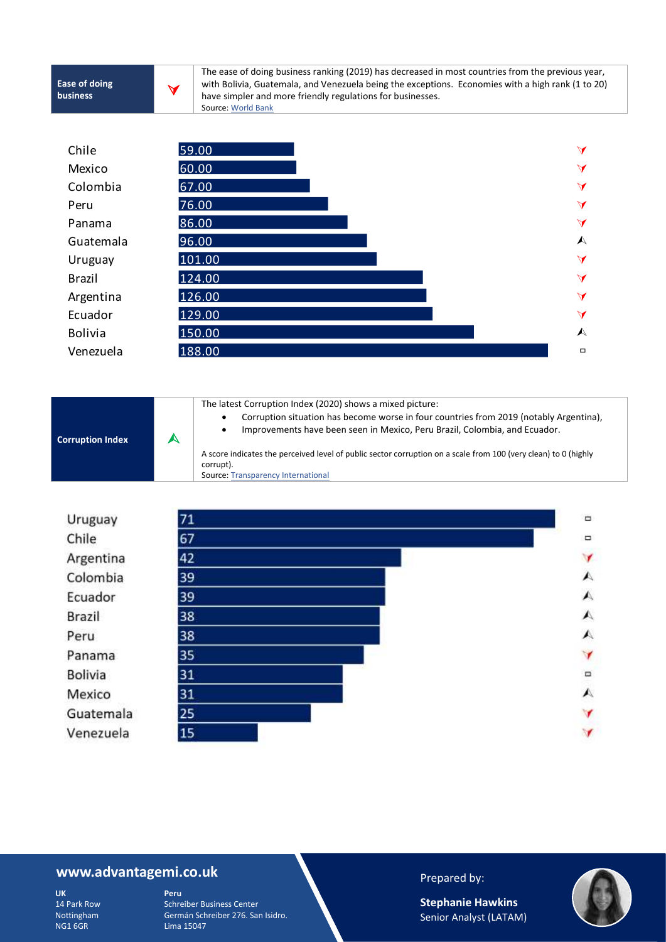**Corruption Index**



The ease of doing business ranking (2019) has decreased in most countries from the previous year, with Bolivia, Guatemala, and Venezuela being the exceptions. Economies with a high rank (1 to 20) have simpler and more friendly regulations for businesses. Source: [World Bank](https://www.worldbank.org/)



The latest Corruption Index (2020) shows a mixed picture: • Corruption situation has become worse in four countries from 2019 (notably Argentina),

• Improvements have been seen in Mexico, Peru Brazil, Colombia, and Ecuador.

A score indicates the perceived level of public sector corruption on a scale from 100 (very clean) to 0 (highly corrupt).

Source: **Transparency International** 



#### **www.advantagemi.co.uk**

**UK** 14 Park Row Nottingham NG1 6GR

**Peru** Schreiber Business Center Germán Schreiber 276. San Isidro. Lima 15047

#### Prepared by:

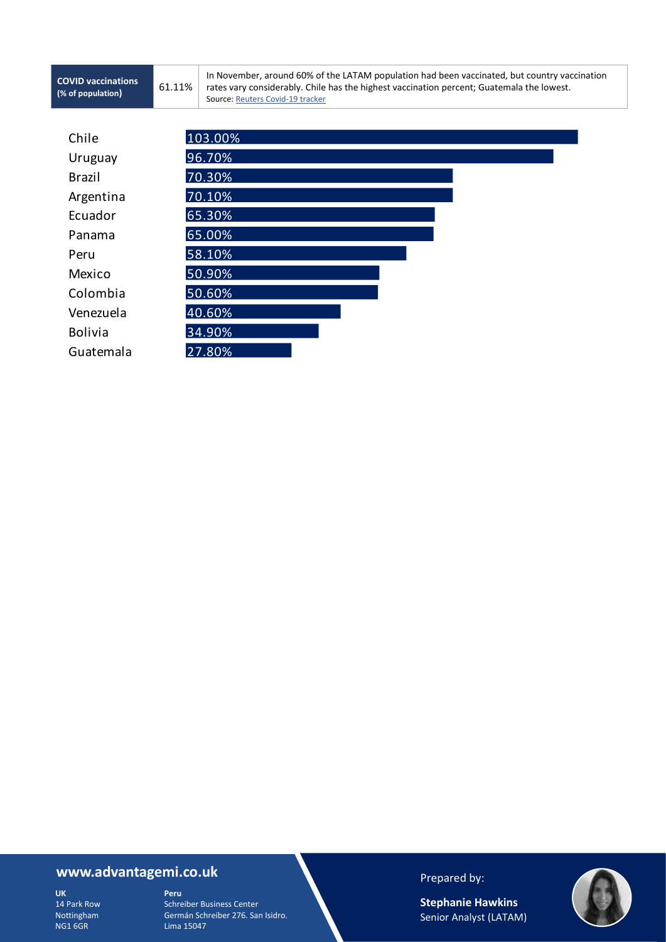61.11%

In November, around 60% of the LATAM population had been vaccinated, but country vaccination rates vary considerably. Chile has the highest vaccination percent; Guatemala the lowest. Source: Reuters Covid-19 tracker

| Chile          | 103.00% |
|----------------|---------|
| Uruguay        | 96.70%  |
| <b>Brazil</b>  | 70.30%  |
| Argentina      | 70.10%  |
| Ecuador        | 65.30%  |
| Panama         | 65.00%  |
| Peru           | 58.10%  |
| Mexico         | 50.90%  |
| Colombia       | 50.60%  |
| Venezuela      | 40.60%  |
| <b>Bolivia</b> | 34.90%  |
| Guatemala      | 27.80%  |

## **www.advantagemi.co.uk**

**UK** 14 Park Row Nottingham NG1 6GR

**Peru** Schreiber Business Center Germán Schreiber 276. San Isidro. Lima 15047

Prepared by:

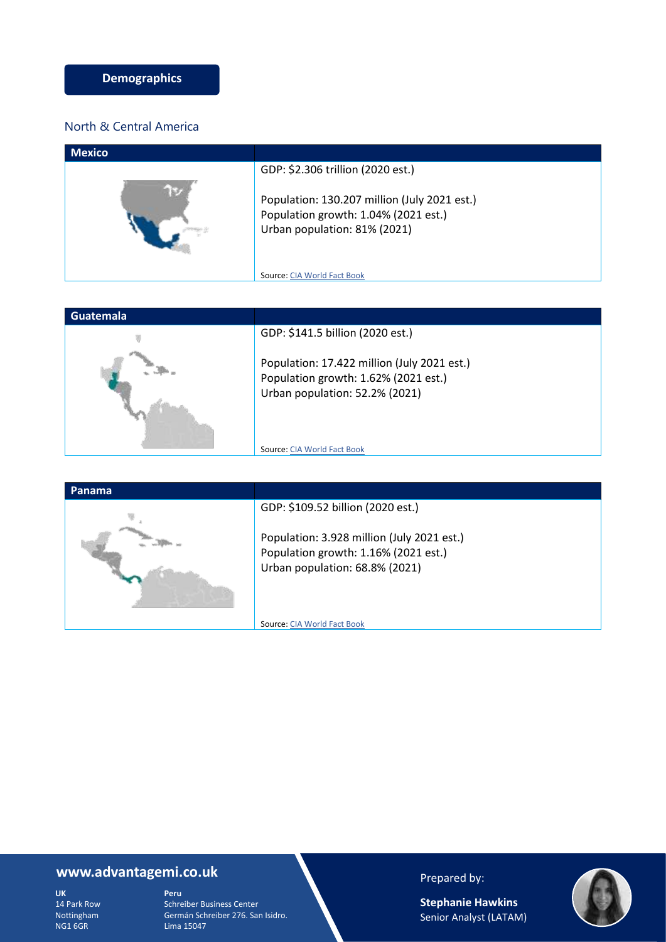### North & Central America

| <b>Mexico</b> |                                                                                                                      |
|---------------|----------------------------------------------------------------------------------------------------------------------|
|               | GDP: \$2.306 trillion (2020 est.)                                                                                    |
|               | Population: 130.207 million (July 2021 est.)<br>Population growth: 1.04% (2021 est.)<br>Urban population: 81% (2021) |
|               | Source: CIA World Fact Book                                                                                          |





## **www.advantagemi.co.uk**

**UK** 14 Park Row Nottingham NG1 6GR

**Peru** Schreiber Business Center Germán Schreiber 276. San Isidro. Lima 15047

## Prepared by:

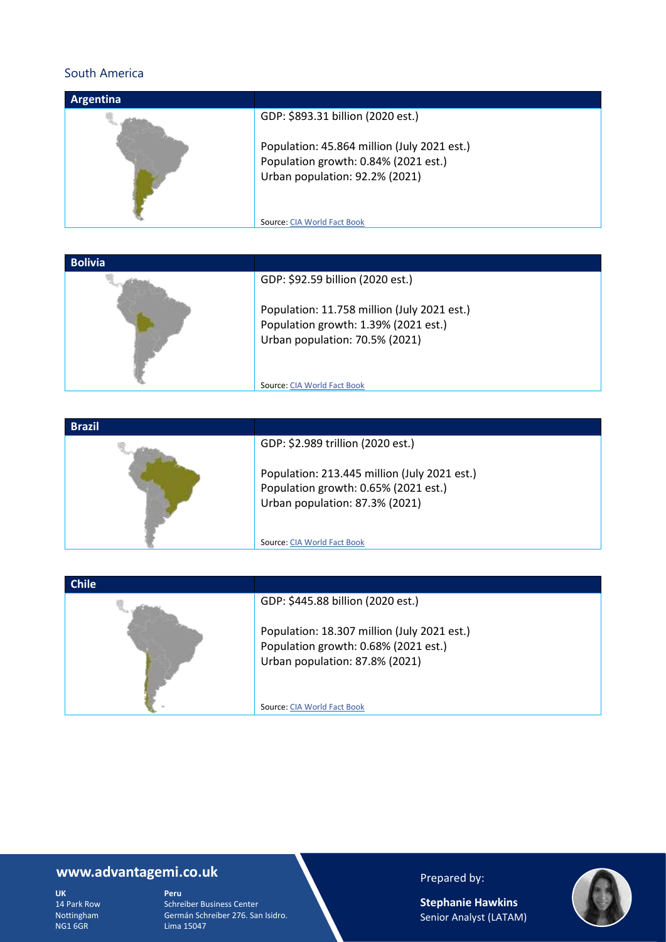### South America

| <b>Argentina</b> |                                                                                                                                                                                           |
|------------------|-------------------------------------------------------------------------------------------------------------------------------------------------------------------------------------------|
|                  | GDP: \$893.31 billion (2020 est.)<br>Population: 45.864 million (July 2021 est.)<br>Population growth: 0.84% (2021 est.)<br>Urban population: 92.2% (2021)<br>Source: CIA World Fact Book |
|                  |                                                                                                                                                                                           |

| <b>Bolivia</b> |                                             |
|----------------|---------------------------------------------|
|                | GDP: \$92.59 billion (2020 est.)            |
|                | Population: 11.758 million (July 2021 est.) |
|                | Population growth: 1.39% (2021 est.)        |
|                | Urban population: 70.5% (2021)              |
|                |                                             |
|                |                                             |
|                | Source: CIA World Fact Book                 |

| <b>Brazil</b> |                                                                                                       |
|---------------|-------------------------------------------------------------------------------------------------------|
|               | GDP: \$2.989 trillion (2020 est.)<br>Population: 213.445 million (July 2021 est.)                     |
|               | Population growth: 0.65% (2021 est.)<br>Urban population: 87.3% (2021)<br>Source: CIA World Fact Book |

| <b>Chile</b> |                                             |
|--------------|---------------------------------------------|
|              | GDP: \$445.88 billion (2020 est.)           |
|              | Population: 18.307 million (July 2021 est.) |
|              | Population growth: 0.68% (2021 est.)        |
|              | Urban population: 87.8% (2021)              |
|              |                                             |
|              | Source: CIA World Fact Book                 |

# **www.advantagemi.co.uk**

**UK** 14 Park Row Nottingham NG1 6GR

**Peru** Schreiber Business Center Germán Schreiber 276. San Isidro. Lima 15047

## Prepared by:

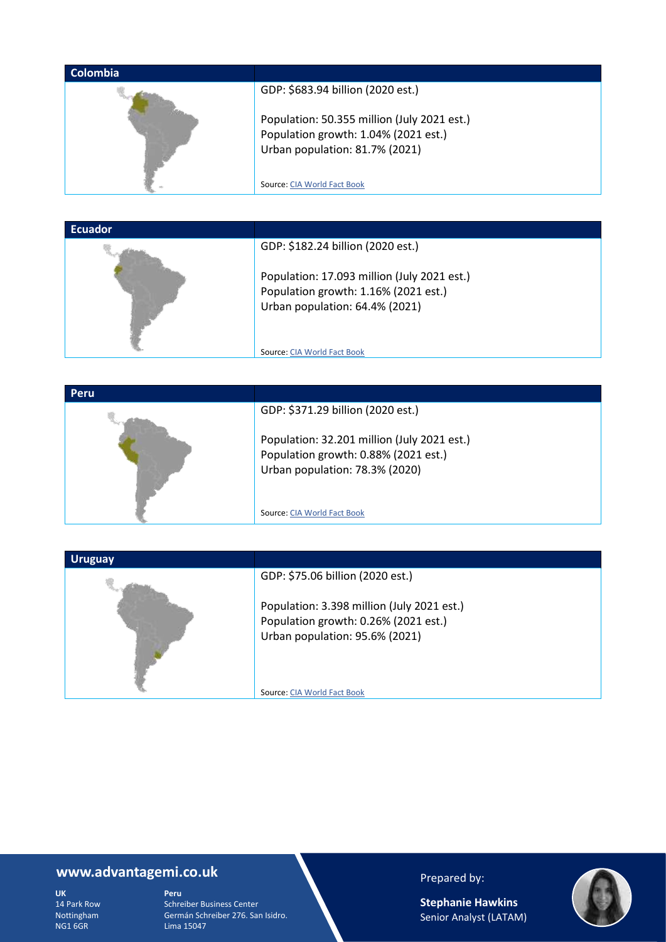| <b>Colombia</b> |                                                                                                                                                            |
|-----------------|------------------------------------------------------------------------------------------------------------------------------------------------------------|
|                 | GDP: \$683.94 billion (2020 est.)<br>Population: 50.355 million (July 2021 est.)<br>Population growth: 1.04% (2021 est.)<br>Urban population: 81.7% (2021) |
|                 | Source: CIA World Fact Book                                                                                                                                |

| <b>Ecuador</b> |                                             |
|----------------|---------------------------------------------|
|                | GDP: \$182.24 billion (2020 est.)           |
|                | Population: 17.093 million (July 2021 est.) |
|                | Population growth: 1.16% (2021 est.)        |
|                | Urban population: 64.4% (2021)              |
|                |                                             |
|                | Source: CIA World Fact Book                 |

| <b>Peru</b> |                                             |
|-------------|---------------------------------------------|
|             | GDP: \$371.29 billion (2020 est.)           |
|             | Population: 32.201 million (July 2021 est.) |
|             | Population growth: 0.88% (2021 est.)        |
|             | Urban population: 78.3% (2020)              |
|             |                                             |
|             |                                             |
|             | Source: CIA World Fact Book                 |



# **www.advantagemi.co.uk**

**UK** 14 Park Row Nottingham NG1 6GR

**Peru** Schreiber Business Center Germán Schreiber 276. San Isidro. Lima 15047

## Prepared by: